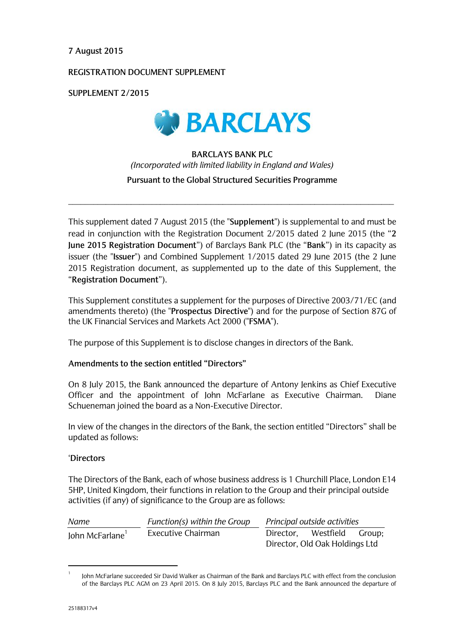#### **7 August 2015**

### **REGISTRATION DOCUMENT SUPPLEMENT**

**SUPPLEMENT 2/2015**



## **BARCLAYS BANK PLC**  *(Incorporated with limited liability in England and Wales)* **Pursuant to the Global Structured Securities Programme**

\_\_\_\_\_\_\_\_\_\_\_\_\_\_\_\_\_\_\_\_\_\_\_\_\_\_\_\_\_\_\_\_\_\_\_\_\_\_\_\_\_\_\_\_\_\_\_\_\_\_\_\_\_\_\_\_\_\_\_\_\_\_\_\_\_\_\_\_\_\_\_\_\_\_\_\_\_\_

This supplement dated 7 August 2015 (the "**Supplement**") is supplemental to and must be read in conjunction with the Registration Document 2/2015 dated 2 June 2015 (the "**2 June 2015 Registration Document**") of Barclays Bank PLC (the "**Bank**") in its capacity as issuer (the "**Issuer**") and Combined Supplement 1/2015 dated 29 June 2015 (the 2 June 2015 Registration document, as supplemented up to the date of this Supplement, the "**Registration Document**").

This Supplement constitutes a supplement for the purposes of Directive 2003/71/EC (and amendments thereto) (the "**Prospectus Directive**") and for the purpose of Section 87G of the UK Financial Services and Markets Act 2000 ("**FSMA**").

The purpose of this Supplement is to disclose changes in directors of the Bank.

### **Amendments to the section entitled "Directors"**

On 8 July 2015, the Bank announced the departure of Antony Jenkins as Chief Executive Officer and the appointment of John McFarlane as Executive Chairman. Diane Schueneman joined the board as a Non-Executive Director.

In view of the changes in the directors of the Bank, the section entitled "Directors" shall be updated as follows:

#### '**Directors**

The Directors of the Bank, each of whose business address is 1 Churchill Place, London E14 5HP, United Kingdom, their functions in relation to the Group and their principal outside activities (if any) of significance to the Group are as follows:

| Name           | Function(s) within the Group | Principal outside activities   |                  |  |
|----------------|------------------------------|--------------------------------|------------------|--|
| John McFarlane | Executive Chairman           | Director.                      | Westfield Group; |  |
|                |                              | Director, Old Oak Holdings Ltd |                  |  |

<sup>1</sup> John McFarlane succeeded Sir David Walker as Chairman of the Bank and Barclays PLC with effect from the conclusion of the Barclays PLC AGM on 23 April 2015. On 8 July 2015, Barclays PLC and the Bank announced the departure of

<u>.</u>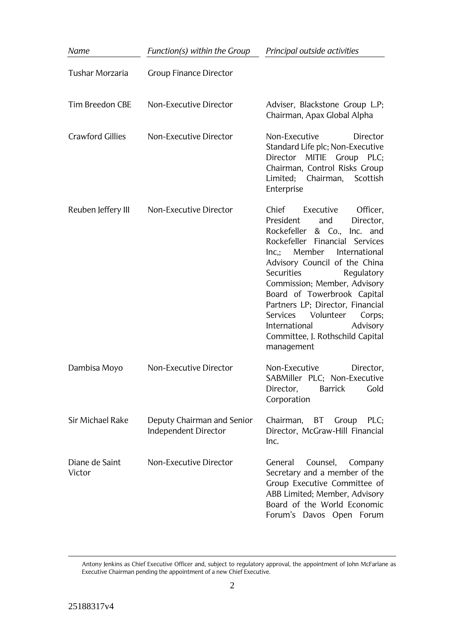| Name                     | Function(s) within the Group                       | Principal outside activities                                                                                                                                                                                                                                                                                                                                                                                                                                      |  |
|--------------------------|----------------------------------------------------|-------------------------------------------------------------------------------------------------------------------------------------------------------------------------------------------------------------------------------------------------------------------------------------------------------------------------------------------------------------------------------------------------------------------------------------------------------------------|--|
| <b>Tushar Morzaria</b>   | <b>Group Finance Director</b>                      |                                                                                                                                                                                                                                                                                                                                                                                                                                                                   |  |
| <b>Tim Breedon CBE</b>   | Non-Executive Director                             | Adviser, Blackstone Group L.P;<br>Chairman, Apax Global Alpha                                                                                                                                                                                                                                                                                                                                                                                                     |  |
| <b>Crawford Gillies</b>  | Non-Executive Director                             | Non-Executive<br>Director<br>Standard Life plc; Non-Executive<br>MITIE Group PLC;<br>Director<br>Chairman, Control Risks Group<br>Limited; Chairman, Scottish<br>Enterprise                                                                                                                                                                                                                                                                                       |  |
| Reuben Jeffery III       | Non-Executive Director                             | Chief<br>Executive<br>Officer,<br>President<br>and<br>Director,<br>Rockefeller<br>& Co., Inc.<br>and<br>Rockefeller Financial<br>Services<br>Member International<br>Inc<br>Advisory Council of the China<br><b>Securities</b><br>Regulatory<br>Commission; Member, Advisory<br>Board of Towerbrook Capital<br>Partners LP; Director, Financial<br>Volunteer<br>Services<br>Corps;<br>International<br>Advisory<br>Committee, J. Rothschild Capital<br>management |  |
| Dambisa Moyo             | Non-Executive Director                             | Non-Executive<br>Director,<br>SABMiller PLC; Non-Executive<br><b>Barrick</b><br>Gold<br>Director,<br>Corporation                                                                                                                                                                                                                                                                                                                                                  |  |
| <b>Sir Michael Rake</b>  | Deputy Chairman and Senior<br>Independent Director | BT<br>Chairman,<br>Group<br>$PLC$ ;<br>Director, McGraw-Hill Financial<br>Inc.                                                                                                                                                                                                                                                                                                                                                                                    |  |
| Diane de Saint<br>Victor | Non-Executive Director                             | General<br>Counsel,<br>Company<br>Secretary and a member of the<br>Group Executive Committee of<br>ABB Limited; Member, Advisory<br>Board of the World Economic<br>Forum's Davos Open Forum                                                                                                                                                                                                                                                                       |  |

Antony Jenkins as Chief Executive Officer and, subject to regulatory approval, the appointment of John McFarlane as Executive Chairman pending the appointment of a new Chief Executive.

<u>.</u>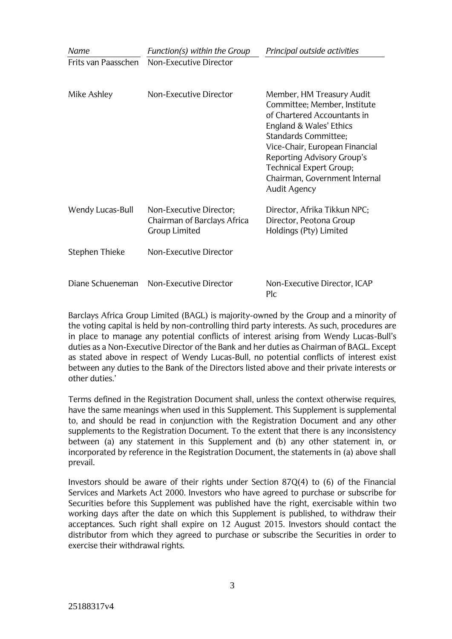| Name                | Function(s) within the Group                                                   | Principal outside activities                                                                                                                                                                                                                                                                                 |  |
|---------------------|--------------------------------------------------------------------------------|--------------------------------------------------------------------------------------------------------------------------------------------------------------------------------------------------------------------------------------------------------------------------------------------------------------|--|
| Frits van Paasschen | Non-Executive Director                                                         |                                                                                                                                                                                                                                                                                                              |  |
| Mike Ashley         | Non-Executive Director                                                         | Member, HM Treasury Audit<br>Committee; Member, Institute<br>of Chartered Accountants in<br>England & Wales' Ethics<br><b>Standards Committee;</b><br>Vice-Chair, European Financial<br>Reporting Advisory Group's<br><b>Technical Expert Group;</b><br>Chairman, Government Internal<br><b>Audit Agency</b> |  |
| Wendy Lucas-Bull    | Non-Executive Director;<br>Chairman of Barclays Africa<br><b>Group Limited</b> | Director, Afrika Tikkun NPC;<br>Director, Peotona Group<br>Holdings (Pty) Limited                                                                                                                                                                                                                            |  |
| Stephen Thieke      | Non-Executive Director                                                         |                                                                                                                                                                                                                                                                                                              |  |
| Diane Schueneman    | Non-Executive Director                                                         | Non-Executive Director, ICAP<br>Plc                                                                                                                                                                                                                                                                          |  |

Barclays Africa Group Limited (BAGL) is majority-owned by the Group and a minority of the voting capital is held by non-controlling third party interests. As such, procedures are in place to manage any potential conflicts of interest arising from Wendy Lucas-Bull's duties as a Non-Executive Director of the Bank and her duties as Chairman of BAGL. Except as stated above in respect of Wendy Lucas-Bull, no potential conflicts of interest exist between any duties to the Bank of the Directors listed above and their private interests or other duties.'

Terms defined in the Registration Document shall, unless the context otherwise requires, have the same meanings when used in this Supplement. This Supplement is supplemental to, and should be read in conjunction with the Registration Document and any other supplements to the Registration Document. To the extent that there is any inconsistency between (a) any statement in this Supplement and (b) any other statement in, or incorporated by reference in the Registration Document, the statements in (a) above shall prevail.

Investors should be aware of their rights under Section 87Q(4) to (6) of the Financial Services and Markets Act 2000. Investors who have agreed to purchase or subscribe for Securities before this Supplement was published have the right, exercisable within two working days after the date on which this Supplement is published, to withdraw their acceptances. Such right shall expire on 12 August 2015. Investors should contact the distributor from which they agreed to purchase or subscribe the Securities in order to exercise their withdrawal rights.